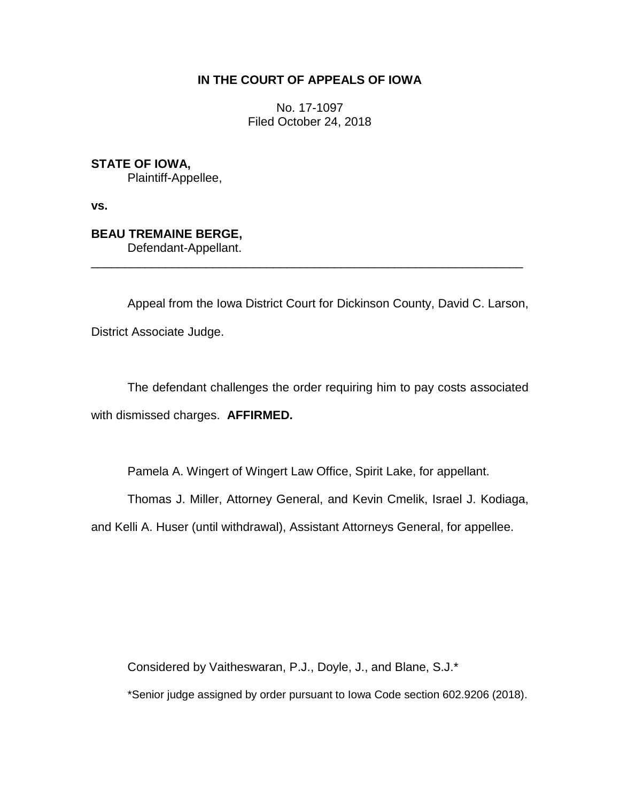## **IN THE COURT OF APPEALS OF IOWA**

No. 17-1097 Filed October 24, 2018

**STATE OF IOWA,**

Plaintiff-Appellee,

**vs.**

## **BEAU TREMAINE BERGE,**

Defendant-Appellant.

Appeal from the Iowa District Court for Dickinson County, David C. Larson, District Associate Judge.

\_\_\_\_\_\_\_\_\_\_\_\_\_\_\_\_\_\_\_\_\_\_\_\_\_\_\_\_\_\_\_\_\_\_\_\_\_\_\_\_\_\_\_\_\_\_\_\_\_\_\_\_\_\_\_\_\_\_\_\_\_\_\_\_

The defendant challenges the order requiring him to pay costs associated with dismissed charges. **AFFIRMED.**

Pamela A. Wingert of Wingert Law Office, Spirit Lake, for appellant.

Thomas J. Miller, Attorney General, and Kevin Cmelik, Israel J. Kodiaga,

and Kelli A. Huser (until withdrawal), Assistant Attorneys General, for appellee.

Considered by Vaitheswaran, P.J., Doyle, J., and Blane, S.J.\*

\*Senior judge assigned by order pursuant to Iowa Code section 602.9206 (2018).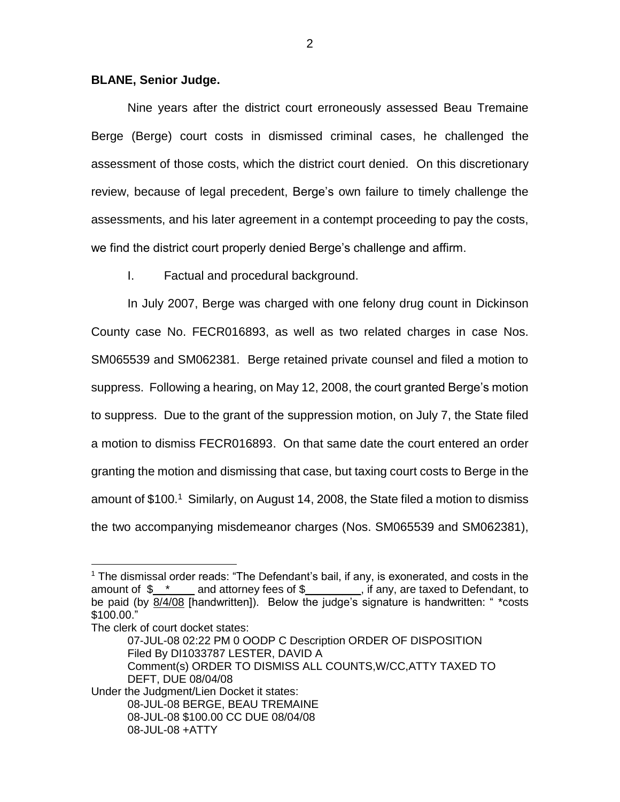## **BLANE, Senior Judge.**

Nine years after the district court erroneously assessed Beau Tremaine Berge (Berge) court costs in dismissed criminal cases, he challenged the assessment of those costs, which the district court denied. On this discretionary review, because of legal precedent, Berge's own failure to timely challenge the assessments, and his later agreement in a contempt proceeding to pay the costs, we find the district court properly denied Berge's challenge and affirm.

I. Factual and procedural background.

In July 2007, Berge was charged with one felony drug count in Dickinson County case No. FECR016893, as well as two related charges in case Nos. SM065539 and SM062381. Berge retained private counsel and filed a motion to suppress. Following a hearing, on May 12, 2008, the court granted Berge's motion to suppress. Due to the grant of the suppression motion, on July 7, the State filed a motion to dismiss FECR016893. On that same date the court entered an order granting the motion and dismissing that case, but taxing court costs to Berge in the amount of \$100.<sup>1</sup> Similarly, on August 14, 2008, the State filed a motion to dismiss the two accompanying misdemeanor charges (Nos. SM065539 and SM062381),

 $\overline{a}$ 

Under the Judgment/Lien Docket it states: 08-JUL-08 BERGE, BEAU TREMAINE 08-JUL-08 \$100.00 CC DUE 08/04/08 08-JUL-08 +ATTY

 $1$  The dismissal order reads: "The Defendant's bail, if any, is exonerated, and costs in the amount of  $\frac{1}{2}$   $\frac{1}{2}$  and attorney fees of  $\frac{1}{2}$  if any, are taxed to Defendant, to be paid (by 8/4/08 [handwritten]). Below the judge's signature is handwritten: " \*costs \$100.00."

The clerk of court docket states:

<sup>07-</sup>JUL-08 02:22 PM 0 OODP C Description ORDER OF DISPOSITION Filed By DI1033787 LESTER, DAVID A Comment(s) ORDER TO DISMISS ALL COUNTS,W/CC,ATTY TAXED TO DEFT, DUE 08/04/08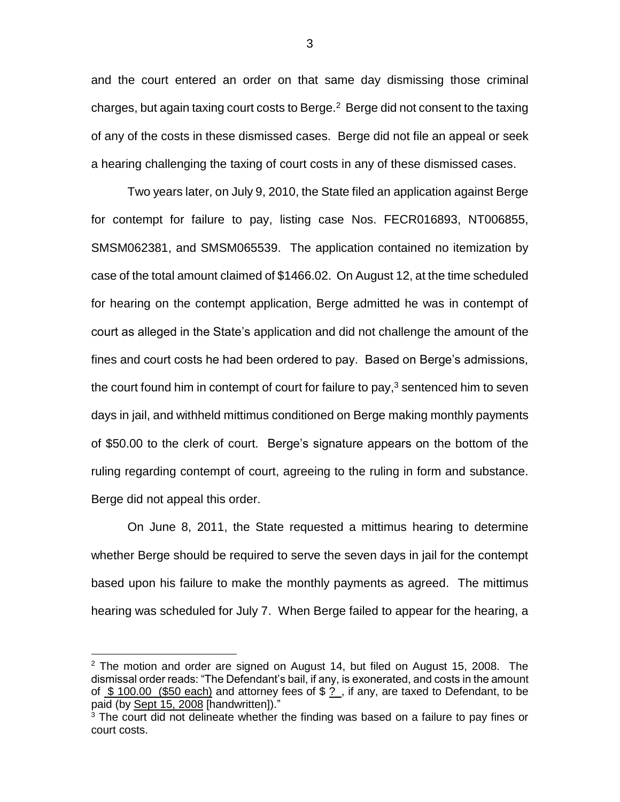and the court entered an order on that same day dismissing those criminal charges, but again taxing court costs to Berge. $^2$  Berge did not consent to the taxing of any of the costs in these dismissed cases. Berge did not file an appeal or seek a hearing challenging the taxing of court costs in any of these dismissed cases.

Two years later, on July 9, 2010, the State filed an application against Berge for contempt for failure to pay, listing case Nos. FECR016893, NT006855, SMSM062381, and SMSM065539. The application contained no itemization by case of the total amount claimed of \$1466.02. On August 12, at the time scheduled for hearing on the contempt application, Berge admitted he was in contempt of court as alleged in the State's application and did not challenge the amount of the fines and court costs he had been ordered to pay. Based on Berge's admissions, the court found him in contempt of court for failure to pay, $3$  sentenced him to seven days in jail, and withheld mittimus conditioned on Berge making monthly payments of \$50.00 to the clerk of court. Berge's signature appears on the bottom of the ruling regarding contempt of court, agreeing to the ruling in form and substance. Berge did not appeal this order.

On June 8, 2011, the State requested a mittimus hearing to determine whether Berge should be required to serve the seven days in jail for the contempt based upon his failure to make the monthly payments as agreed. The mittimus hearing was scheduled for July 7. When Berge failed to appear for the hearing, a

 $\overline{a}$ 

3

 $2$  The motion and order are signed on August 14, but filed on August 15, 2008. The dismissal order reads: "The Defendant's bail, if any, is exonerated, and costs in the amount of \$100.00 (\$50 each) and attorney fees of  $\frac{1}{2}$ , if any, are taxed to Defendant, to be paid (by Sept 15, 2008 [handwritten])."

 $3$  The court did not delineate whether the finding was based on a failure to pay fines or court costs.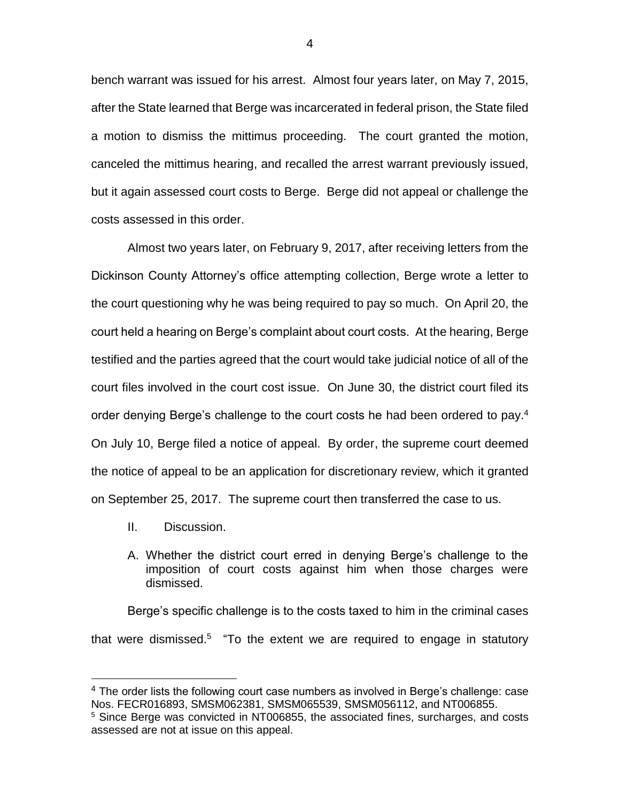bench warrant was issued for his arrest. Almost four years later, on May 7, 2015, after the State learned that Berge was incarcerated in federal prison, the State filed a motion to dismiss the mittimus proceeding. The court granted the motion, canceled the mittimus hearing, and recalled the arrest warrant previously issued, but it again assessed court costs to Berge. Berge did not appeal or challenge the costs assessed in this order.

Almost two years later, on February 9, 2017, after receiving letters from the Dickinson County Attorney's office attempting collection, Berge wrote a letter to the court questioning why he was being required to pay so much. On April 20, the court held a hearing on Berge's complaint about court costs. At the hearing, Berge testified and the parties agreed that the court would take judicial notice of all of the court files involved in the court cost issue. On June 30, the district court filed its order denying Berge's challenge to the court costs he had been ordered to pay.<sup>4</sup> On July 10, Berge filed a notice of appeal. By order, the supreme court deemed the notice of appeal to be an application for discretionary review, which it granted on September 25, 2017. The supreme court then transferred the case to us.

II. Discussion.

 $\overline{a}$ 

A. Whether the district court erred in denying Berge's challenge to the imposition of court costs against him when those charges were dismissed.

Berge's specific challenge is to the costs taxed to him in the criminal cases that were dismissed.<sup>5</sup> "To the extent we are required to engage in statutory

 $4$  The order lists the following court case numbers as involved in Berge's challenge: case Nos. FECR016893, SMSM062381, SMSM065539, SMSM056112, and NT006855.

<sup>&</sup>lt;sup>5</sup> Since Berge was convicted in NT006855, the associated fines, surcharges, and costs assessed are not at issue on this appeal.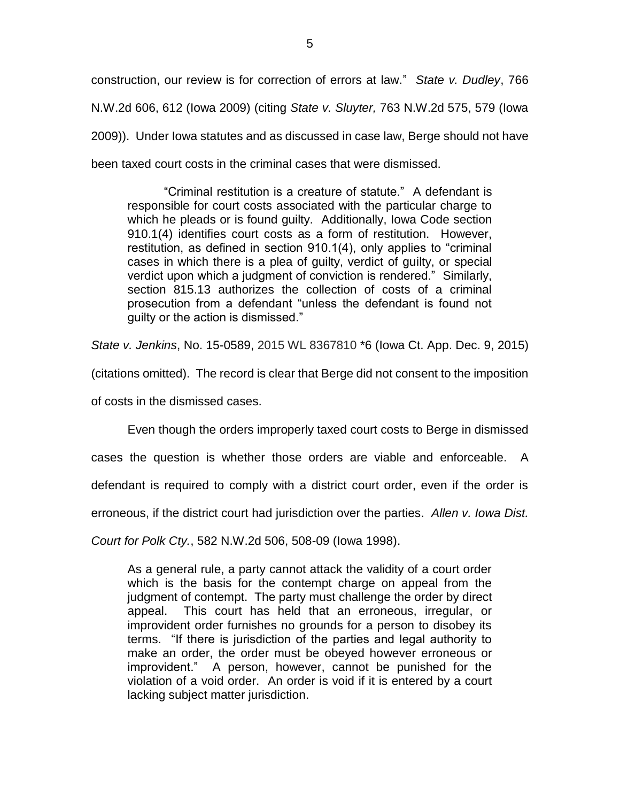construction, our review is for correction of errors at law." *State v. Dudley*, 766 N.W.2d 606, 612 (Iowa 2009) (citing *State v. Sluyter,* 763 N.W.2d 575, 579 (Iowa 2009)). Under Iowa statutes and as discussed in case law, Berge should not have been taxed court costs in the criminal cases that were dismissed.

"Criminal restitution is a creature of statute." A defendant is responsible for court costs associated with the particular charge to which he pleads or is found guilty. Additionally, Iowa Code section 910.1(4) identifies court costs as a form of restitution. However, restitution, as defined in section 910.1(4), only applies to "criminal cases in which there is a plea of guilty, verdict of guilty, or special verdict upon which a judgment of conviction is rendered." Similarly, section 815.13 authorizes the collection of costs of a criminal prosecution from a defendant "unless the defendant is found not guilty or the action is dismissed."

*State v. Jenkins*, No. 15-0589, 2015 WL 8367810 \*6 (Iowa Ct. App. Dec. 9, 2015)

(citations omitted). The record is clear that Berge did not consent to the imposition

of costs in the dismissed cases.

Even though the orders improperly taxed court costs to Berge in dismissed

cases the question is whether those orders are viable and enforceable. A

defendant is required to comply with a district court order, even if the order is

erroneous, if the district court had jurisdiction over the parties. *Allen v. Iowa Dist.* 

*Court for Polk Cty.*, 582 N.W.2d 506, 508-09 (Iowa 1998).

As a general rule, a party cannot attack the validity of a court order which is the basis for the contempt charge on appeal from the judgment of contempt. The party must challenge the order by direct appeal. This court has held that an erroneous, irregular, or improvident order furnishes no grounds for a person to disobey its terms. "If there is jurisdiction of the parties and legal authority to make an order, the order must be obeyed however erroneous or improvident." A person, however, cannot be punished for the violation of a void order. An order is void if it is entered by a court lacking subject matter jurisdiction.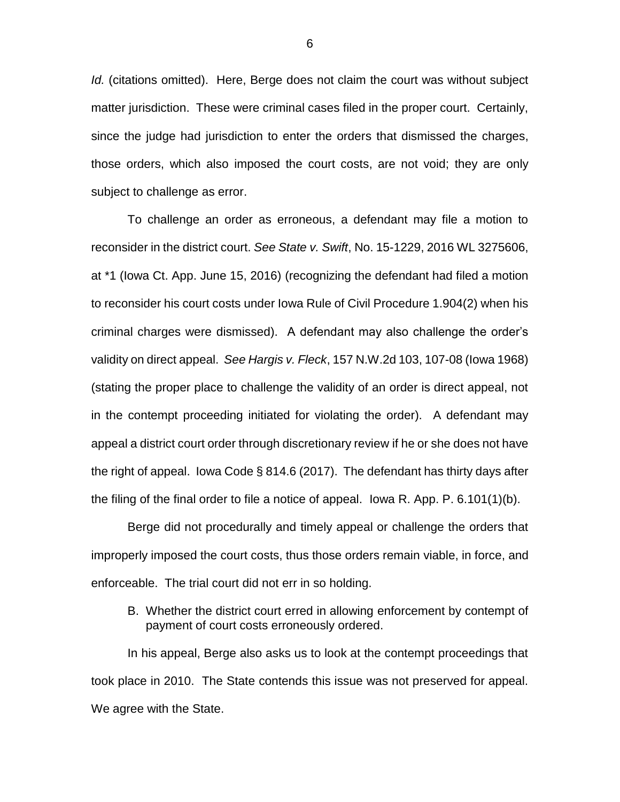*Id.* (citations omitted). Here, Berge does not claim the court was without subject matter jurisdiction. These were criminal cases filed in the proper court. Certainly, since the judge had jurisdiction to enter the orders that dismissed the charges, those orders, which also imposed the court costs, are not void; they are only subject to challenge as error.

To challenge an order as erroneous, a defendant may file a motion to reconsider in the district court. *See State v. Swift*, No. 15-1229, 2016 WL 3275606, at \*1 (Iowa Ct. App. June 15, 2016) (recognizing the defendant had filed a motion to reconsider his court costs under Iowa Rule of Civil Procedure 1.904(2) when his criminal charges were dismissed). A defendant may also challenge the order's validity on direct appeal. *See Hargis v. Fleck*, 157 N.W.2d 103, 107-08 (Iowa 1968) (stating the proper place to challenge the validity of an order is direct appeal, not in the contempt proceeding initiated for violating the order). A defendant may appeal a district court order through discretionary review if he or she does not have the right of appeal. Iowa Code § 814.6 (2017). The defendant has thirty days after the filing of the final order to file a notice of appeal. Iowa R. App. P. 6.101(1)(b).

Berge did not procedurally and timely appeal or challenge the orders that improperly imposed the court costs, thus those orders remain viable, in force, and enforceable. The trial court did not err in so holding.

B. Whether the district court erred in allowing enforcement by contempt of payment of court costs erroneously ordered.

In his appeal, Berge also asks us to look at the contempt proceedings that took place in 2010. The State contends this issue was not preserved for appeal. We agree with the State.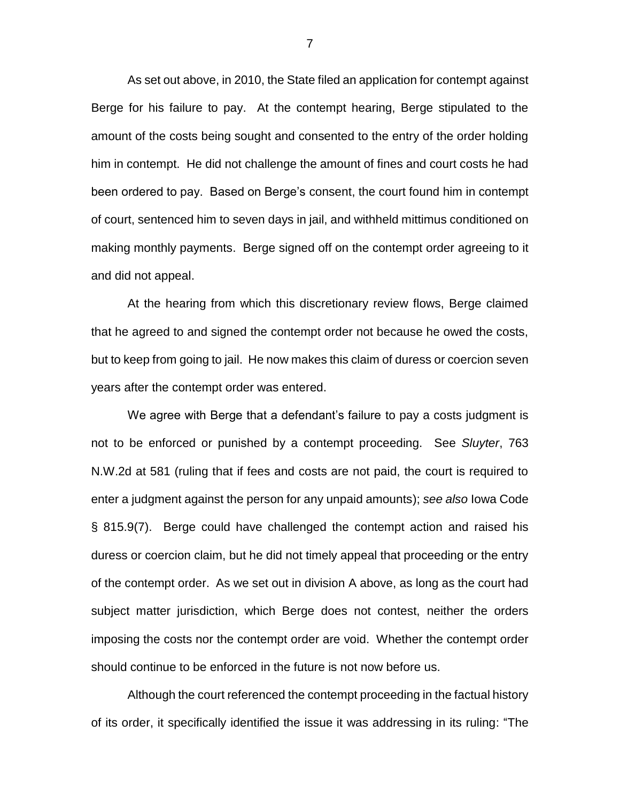As set out above, in 2010, the State filed an application for contempt against Berge for his failure to pay. At the contempt hearing, Berge stipulated to the amount of the costs being sought and consented to the entry of the order holding him in contempt. He did not challenge the amount of fines and court costs he had been ordered to pay. Based on Berge's consent, the court found him in contempt of court, sentenced him to seven days in jail, and withheld mittimus conditioned on making monthly payments. Berge signed off on the contempt order agreeing to it and did not appeal.

At the hearing from which this discretionary review flows, Berge claimed that he agreed to and signed the contempt order not because he owed the costs, but to keep from going to jail. He now makes this claim of duress or coercion seven years after the contempt order was entered.

We agree with Berge that a defendant's failure to pay a costs judgment is not to be enforced or punished by a contempt proceeding. See *Sluyter*, 763 N.W.2d at 581 (ruling that if fees and costs are not paid, the court is required to enter a judgment against the person for any unpaid amounts); *see also* Iowa Code § 815.9(7). Berge could have challenged the contempt action and raised his duress or coercion claim, but he did not timely appeal that proceeding or the entry of the contempt order. As we set out in division A above, as long as the court had subject matter jurisdiction, which Berge does not contest, neither the orders imposing the costs nor the contempt order are void. Whether the contempt order should continue to be enforced in the future is not now before us.

Although the court referenced the contempt proceeding in the factual history of its order, it specifically identified the issue it was addressing in its ruling: "The

7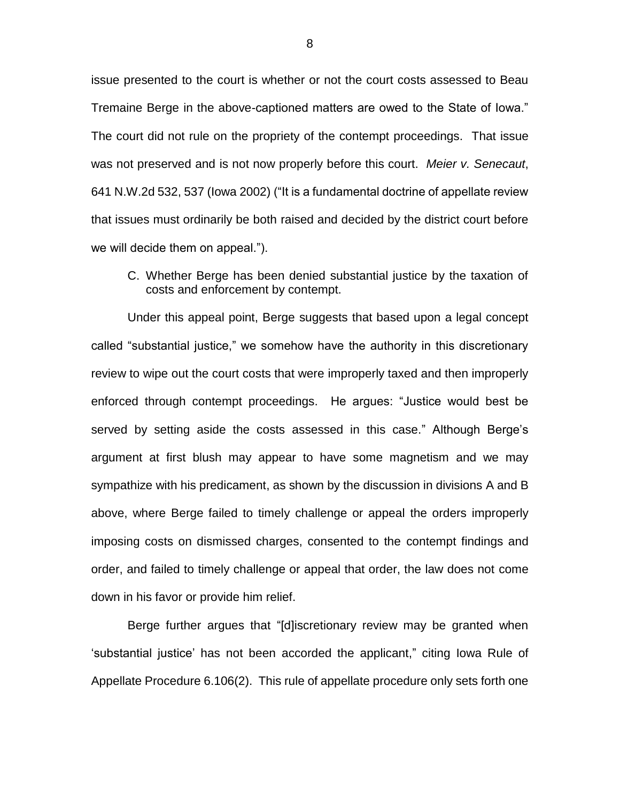issue presented to the court is whether or not the court costs assessed to Beau Tremaine Berge in the above-captioned matters are owed to the State of Iowa." The court did not rule on the propriety of the contempt proceedings. That issue was not preserved and is not now properly before this court. *Meier v. Senecaut*, 641 N.W.2d 532, 537 (Iowa 2002) ("It is a fundamental doctrine of appellate review that issues must ordinarily be both raised and decided by the district court before we will decide them on appeal.").

C. Whether Berge has been denied substantial justice by the taxation of costs and enforcement by contempt.

Under this appeal point, Berge suggests that based upon a legal concept called "substantial justice," we somehow have the authority in this discretionary review to wipe out the court costs that were improperly taxed and then improperly enforced through contempt proceedings. He argues: "Justice would best be served by setting aside the costs assessed in this case." Although Berge's argument at first blush may appear to have some magnetism and we may sympathize with his predicament, as shown by the discussion in divisions A and B above, where Berge failed to timely challenge or appeal the orders improperly imposing costs on dismissed charges, consented to the contempt findings and order, and failed to timely challenge or appeal that order, the law does not come down in his favor or provide him relief.

Berge further argues that "[d]iscretionary review may be granted when 'substantial justice' has not been accorded the applicant," citing Iowa Rule of Appellate Procedure 6.106(2). This rule of appellate procedure only sets forth one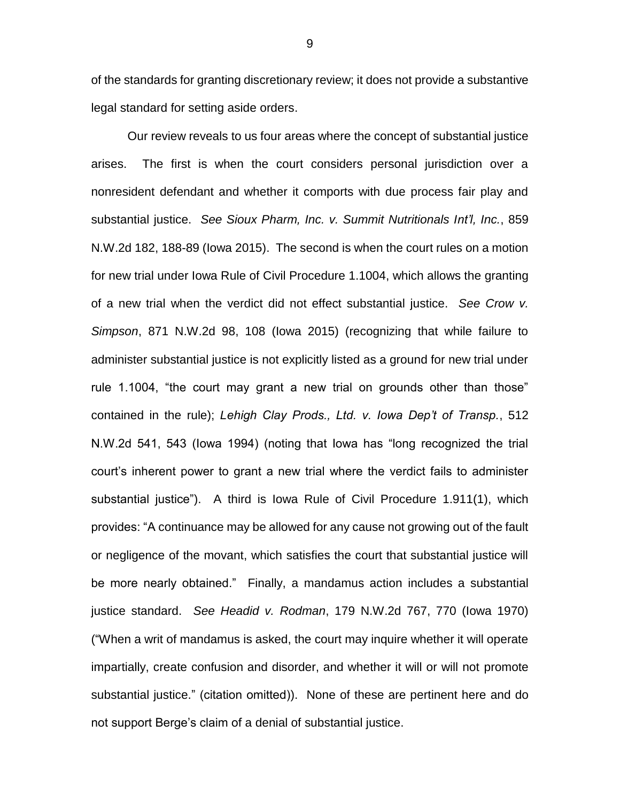of the standards for granting discretionary review; it does not provide a substantive legal standard for setting aside orders.

Our review reveals to us four areas where the concept of substantial justice arises. The first is when the court considers personal jurisdiction over a nonresident defendant and whether it comports with due process fair play and substantial justice. *See Sioux Pharm, Inc. v. Summit Nutritionals Int'l, Inc.*, 859 N.W.2d 182, 188-89 (Iowa 2015). The second is when the court rules on a motion for new trial under Iowa Rule of Civil Procedure 1.1004, which allows the granting of a new trial when the verdict did not effect substantial justice. *See Crow v. Simpson*, 871 N.W.2d 98, 108 (Iowa 2015) (recognizing that while failure to administer substantial justice is not explicitly listed as a ground for new trial under rule 1.1004, "the court may grant a new trial on grounds other than those" contained in the rule); *Lehigh Clay Prods., Ltd. v. Iowa Dep't of Transp.*, 512 N.W.2d 541, 543 (Iowa 1994) (noting that Iowa has "long recognized the trial court's inherent power to grant a new trial where the verdict fails to administer substantial justice"). A third is Iowa Rule of Civil Procedure 1.911(1), which provides: "A continuance may be allowed for any cause not growing out of the fault or negligence of the movant, which satisfies the court that substantial justice will be more nearly obtained." Finally, a mandamus action includes a substantial justice standard. *See Headid v. Rodman*, 179 N.W.2d 767, 770 (Iowa 1970) ("When a writ of mandamus is asked, the court may inquire whether it will operate impartially, create confusion and disorder, and whether it will or will not promote substantial justice." (citation omitted)). None of these are pertinent here and do not support Berge's claim of a denial of substantial justice.

9